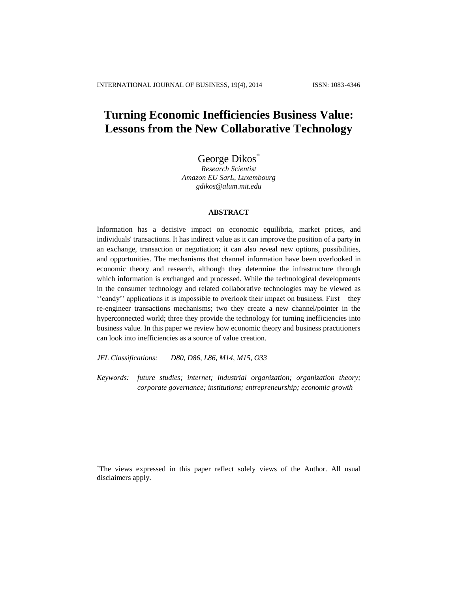# **Turning Economic Inefficiencies Business Value: Lessons from the New Collaborative Technology**

George Dikos<sup>\*</sup>

*Research Scientist Amazon EU SarL, Luxembourg gdikos@alum.mit.edu*

## **ABSTRACT**

Information has a decisive impact on economic equilibria, market prices, and individuals' transactions. It has indirect value as it can improve the position of a party in an exchange, transaction or negotiation; it can also reveal new options, possibilities, and opportunities. The mechanisms that channel information have been overlooked in economic theory and research, although they determine the infrastructure through which information is exchanged and processed. While the technological developments in the consumer technology and related collaborative technologies may be viewed as ''candy'' applications it is impossible to overlook their impact on business. First – they re-engineer transactions mechanisms; two they create a new channel/pointer in the hyperconnected world; three they provide the technology for turning inefficiencies into business value. In this paper we review how economic theory and business practitioners can look into inefficiencies as a source of value creation.

*JEL Classifications: D80, D86, L86, M14, M15, O33*

*Keywords: future studies; internet; industrial organization; organization theory; corporate governance; institutions; entrepreneurship; economic growth*

\*The views expressed in this paper reflect solely views of the Author. All usual disclaimers apply.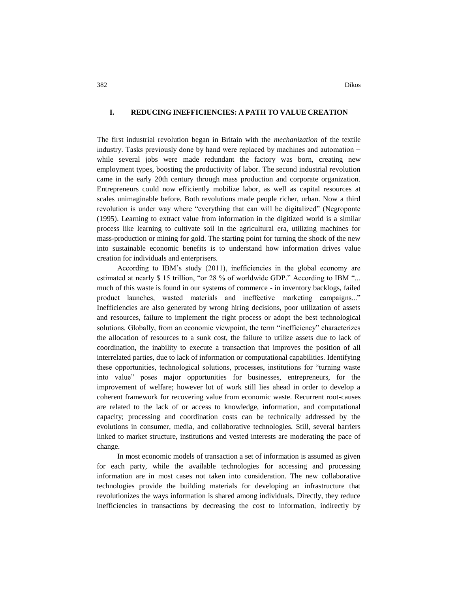#### **I. REDUCING INEFFICIENCIES: A PATH TO VALUE CREATION**

The first industrial revolution began in Britain with the *mechanization* of the textile industry. Tasks previously done by hand were replaced by machines and automation − while several jobs were made redundant the factory was born, creating new employment types, boosting the productivity of labor. The second industrial revolution came in the early 20th century through mass production and corporate organization. Entrepreneurs could now efficiently mobilize labor, as well as capital resources at scales unimaginable before. Both revolutions made people richer, urban. Now a third revolution is under way where "everything that can will be digitalized" (Negroponte (1995). Learning to extract value from information in the digitized world is a similar process like learning to cultivate soil in the agricultural era, utilizing machines for mass-production or mining for gold. The starting point for turning the shock of the new into sustainable economic benefits is to understand how information drives value creation for individuals and enterprisers.

According to IBM's study (2011), inefficiencies in the global economy are estimated at nearly \$ 15 trillion, "or 28 % of worldwide GDP." According to IBM "... much of this waste is found in our systems of commerce - in inventory backlogs, failed product launches, wasted materials and ineffective marketing campaigns..." Inefficiencies are also generated by wrong hiring decisions, poor utilization of assets and resources, failure to implement the right process or adopt the best technological solutions. Globally, from an economic viewpoint, the term "inefficiency" characterizes the allocation of resources to a sunk cost, the failure to utilize assets due to lack of coordination, the inability to execute a transaction that improves the position of all interrelated parties, due to lack of information or computational capabilities. Identifying these opportunities, technological solutions, processes, institutions for "turning waste into value" poses major opportunities for businesses, entrepreneurs, for the improvement of welfare; however lot of work still lies ahead in order to develop a coherent framework for recovering value from economic waste. Recurrent root-causes are related to the lack of or access to knowledge, information, and computational capacity; processing and coordination costs can be technically addressed by the evolutions in consumer, media, and collaborative technologies. Still, several barriers linked to market structure, institutions and vested interests are moderating the pace of change.

In most economic models of transaction a set of information is assumed as given for each party, while the available technologies for accessing and processing information are in most cases not taken into consideration. The new collaborative technologies provide the building materials for developing an infrastructure that revolutionizes the ways information is shared among individuals. Directly, they reduce inefficiencies in transactions by decreasing the cost to information, indirectly by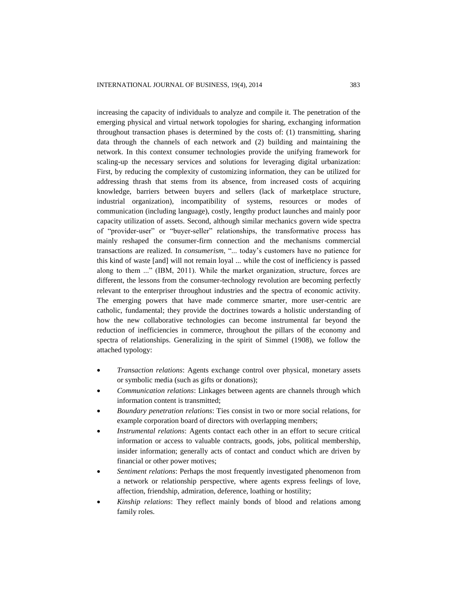increasing the capacity of individuals to analyze and compile it. The penetration of the emerging physical and virtual network topologies for sharing, exchanging information throughout transaction phases is determined by the costs of: (1) transmitting, sharing data through the channels of each network and (2) building and maintaining the network. In this context consumer technologies provide the unifying framework for scaling-up the necessary services and solutions for leveraging digital urbanization: First, by reducing the complexity of customizing information, they can be utilized for addressing thrash that stems from its absence, from increased costs of acquiring knowledge, barriers between buyers and sellers (lack of marketplace structure, industrial organization), incompatibility of systems, resources or modes of communication (including language), costly, lengthy product launches and mainly poor capacity utilization of assets. Second, although similar mechanics govern wide spectra of "provider-user" or "buyer-seller" relationships, the transformative process has mainly reshaped the consumer-firm connection and the mechanisms commercial transactions are realized. In *consumerism*, "... today's customers have no patience for this kind of waste [and] will not remain loyal ... while the cost of inefficiency is passed along to them ..." (IBM, 2011). While the market organization, structure, forces are different, the lessons from the consumer-technology revolution are becoming perfectly relevant to the enterpriser throughout industries and the spectra of economic activity. The emerging powers that have made commerce smarter, more user-centric are catholic, fundamental; they provide the doctrines towards a holistic understanding of how the new collaborative technologies can become instrumental far beyond the reduction of inefficiencies in commerce, throughout the pillars of the economy and spectra of relationships. Generalizing in the spirit of Simmel (1908), we follow the attached typology:

- *Transaction relations*: Agents exchange control over physical, monetary assets or symbolic media (such as gifts or donations);
- *Communication relations*: Linkages between agents are channels through which information content is transmitted;
- *Boundary penetration relations*: Ties consist in two or more social relations, for example corporation board of directors with overlapping members;
- *Instrumental relations*: Agents contact each other in an effort to secure critical information or access to valuable contracts, goods, jobs, political membership, insider information; generally acts of contact and conduct which are driven by financial or other power motives;
- *Sentiment relations*: Perhaps the most frequently investigated phenomenon from a network or relationship perspective, where agents express feelings of love, affection, friendship, admiration, deference, loathing or hostility;
- *Kinship relations*: They reflect mainly bonds of blood and relations among family roles.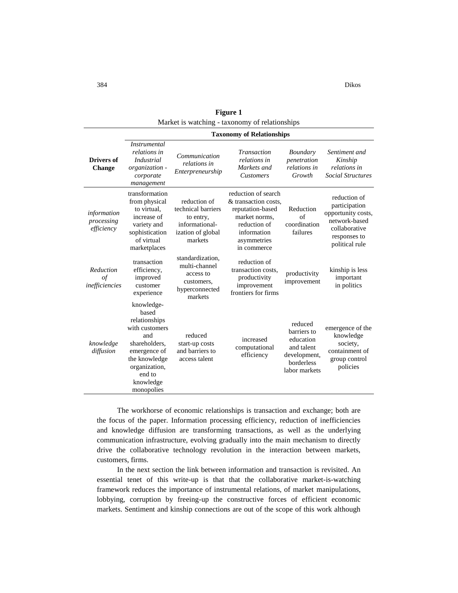| <b>Figure 1</b>                                |
|------------------------------------------------|
| Market is watching - taxonomy of relationships |
| <b>Taxonomy of Relationships</b>               |
| 16 مو                                          |

| Drivers of<br><b>Change</b>               | <i>Instrumental</i><br>relations in<br><i>Industrial</i><br>organization -<br>corporate<br>management                                                                 | Communication<br>relations in<br>Enterpreneurship                                                 | <b>Transaction</b><br>relations in<br>Markets and<br><b>Customers</b>                                                                         | <i>Boundary</i><br>penetration<br>relations in<br>Growth                                         | Sentiment and<br>Kinship<br>relations in<br><b>Social Structures</b>                                                    |
|-------------------------------------------|-----------------------------------------------------------------------------------------------------------------------------------------------------------------------|---------------------------------------------------------------------------------------------------|-----------------------------------------------------------------------------------------------------------------------------------------------|--------------------------------------------------------------------------------------------------|-------------------------------------------------------------------------------------------------------------------------|
| information<br>processing<br>efficiency   | transformation<br>from physical<br>to virtual.<br>increase of<br>variety and<br>sophistication<br>of virtual<br>marketplaces                                          | reduction of<br>technical barriers<br>to entry,<br>informational-<br>ization of global<br>markets | reduction of search<br>& transaction costs,<br>reputation-based<br>market norms.<br>reduction of<br>information<br>asymmetries<br>in commerce | Reduction<br>of<br>coordination<br>failures                                                      | reduction of<br>participation<br>opportunity costs,<br>network-based<br>collaborative<br>responses to<br>political rule |
| Reduction<br>$\sigma f$<br>inefficiencies | transaction<br>efficiency,<br>improved<br>customer<br>experience                                                                                                      | standardization,<br>multi-channel<br>access to<br>customers,<br>hyperconnected<br>markets         | reduction of<br>transaction costs.<br>productivity<br>improvement<br>frontiers for firms                                                      | productivity<br>improvement                                                                      | kinship is less<br>important<br>in politics                                                                             |
| knowledge<br>diffusion                    | knowledge-<br>based<br>relationships<br>with customers<br>and<br>shareholders,<br>emergence of<br>the knowledge<br>organization,<br>end to<br>knowledge<br>monopolies | reduced<br>start-up costs<br>and barriers to<br>access talent                                     | increased<br>computational<br>efficiency                                                                                                      | reduced<br>barriers to<br>education<br>and talent<br>development,<br>borderless<br>labor markets | emergence of the<br>knowledge<br>society,<br>containment of<br>group control<br>policies                                |

The workhorse of economic relationships is transaction and exchange; both are the focus of the paper. Information processing efficiency, reduction of inefficiencies and knowledge diffusion are transforming transactions, as well as the underlying communication infrastructure, evolving gradually into the main mechanism to directly drive the collaborative technology revolution in the interaction between markets, customers, firms.

In the next section the link between information and transaction is revisited. An essential tenet of this write-up is that that the collaborative market-is-watching framework reduces the importance of instrumental relations, of market manipulations, lobbying, corruption by freeing-up the constructive forces of efficient economic markets. Sentiment and kinship connections are out of the scope of this work although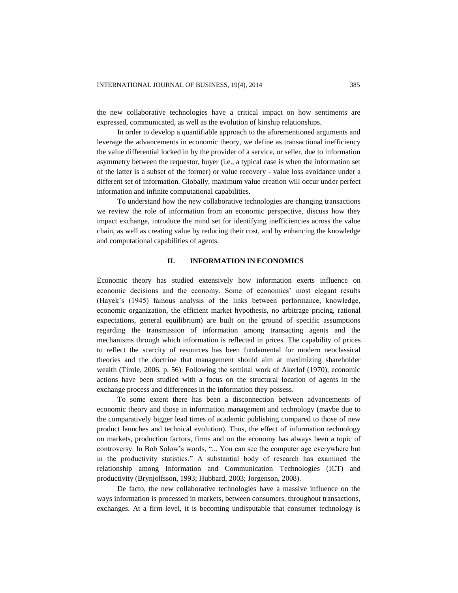the new collaborative technologies have a critical impact on how sentiments are expressed, communicated, as well as the evolution of kinship relationships.

In order to develop a quantifiable approach to the aforementioned arguments and leverage the advancements in economic theory, we define as transactional inefficiency the value differential locked in by the provider of a service, or seller, due to information asymmetry between the requestor, buyer (i.e., a typical case is when the information set of the latter is a subset of the former) or value recovery - value loss avoidance under a different set of information. Globally, maximum value creation will occur under perfect information and infinite computational capabilities.

To understand how the new collaborative technologies are changing transactions we review the role of information from an economic perspective, discuss how they impact exchange, introduce the mind set for identifying inefficiencies across the value chain, as well as creating value by reducing their cost, and by enhancing the knowledge and computational capabilities of agents.

#### **II. INFORMATION IN ECONOMICS**

Economic theory has studied extensively how information exerts influence on economic decisions and the economy. Some of economics' most elegant results (Hayek's (1945) famous analysis of the links between performance, knowledge, economic organization, the efficient market hypothesis, no arbitrage pricing, rational expectations, general equilibrium) are built on the ground of specific assumptions regarding the transmission of information among transacting agents and the mechanisms through which information is reflected in prices. The capability of prices to reflect the scarcity of resources has been fundamental for modern neoclassical theories and the doctrine that management should aim at maximizing shareholder wealth (Tirole, 2006, p. 56). Following the seminal work of Akerlof (1970), economic actions have been studied with a focus on the structural location of agents in the exchange process and differences in the information they possess.

To some extent there has been a disconnection between advancements of economic theory and those in information management and technology (maybe due to the comparatively bigger lead times of academic publishing compared to those of new product launches and technical evolution). Thus, the effect of information technology on markets, production factors, firms and on the economy has always been a topic of controversy. In Bob Solow's words, "... You can see the computer age everywhere but in the productivity statistics." A substantial body of research has examined the relationship among Information and Communication Technologies (ICT) and productivity (Brynjolfsson, 1993; Hubbard, 2003; Jorgenson, 2008).

De facto, the new collaborative technologies have a massive influence on the ways information is processed in markets, between consumers, throughout transactions, exchanges. At a firm level, it is becoming undisputable that consumer technology is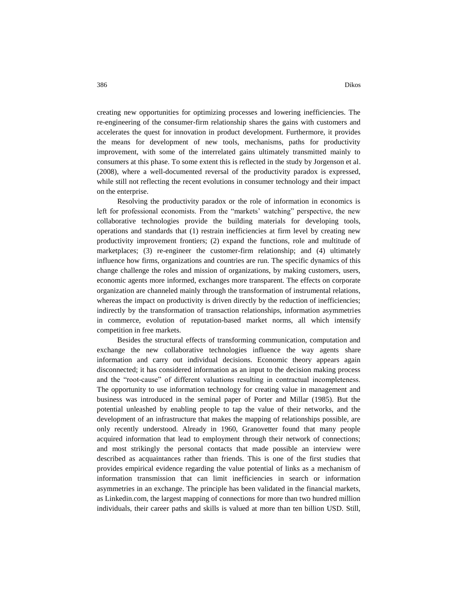creating new opportunities for optimizing processes and lowering inefficiencies. The re-engineering of the consumer-firm relationship shares the gains with customers and accelerates the quest for innovation in product development. Furthermore, it provides the means for development of new tools, mechanisms, paths for productivity improvement, with some of the interrelated gains ultimately transmitted mainly to consumers at this phase. To some extent this is reflected in the study by Jorgenson et al. (2008), where a well-documented reversal of the productivity paradox is expressed, while still not reflecting the recent evolutions in consumer technology and their impact on the enterprise.

Resolving the productivity paradox or the role of information in economics is left for professional economists. From the "markets' watching" perspective, the new collaborative technologies provide the building materials for developing tools, operations and standards that (1) restrain inefficiencies at firm level by creating new productivity improvement frontiers; (2) expand the functions, role and multitude of marketplaces; (3) re-engineer the customer-firm relationship; and (4) ultimately influence how firms, organizations and countries are run. The specific dynamics of this change challenge the roles and mission of organizations, by making customers, users, economic agents more informed, exchanges more transparent. The effects on corporate organization are channeled mainly through the transformation of instrumental relations, whereas the impact on productivity is driven directly by the reduction of inefficiencies; indirectly by the transformation of transaction relationships, information asymmetries in commerce, evolution of reputation-based market norms, all which intensify competition in free markets.

Besides the structural effects of transforming communication, computation and exchange the new collaborative technologies influence the way agents share information and carry out individual decisions. Economic theory appears again disconnected; it has considered information as an input to the decision making process and the "root-cause" of different valuations resulting in contractual incompleteness. The opportunity to use information technology for creating value in management and business was introduced in the seminal paper of Porter and Millar (1985). But the potential unleashed by enabling people to tap the value of their networks, and the development of an infrastructure that makes the mapping of relationships possible, are only recently understood. Already in 1960, Granovetter found that many people acquired information that lead to employment through their network of connections; and most strikingly the personal contacts that made possible an interview were described as acquaintances rather than friends. This is one of the first studies that provides empirical evidence regarding the value potential of links as a mechanism of information transmission that can limit inefficiencies in search or information asymmetries in an exchange. The principle has been validated in the financial markets, as Linkedin.com, the largest mapping of connections for more than two hundred million individuals, their career paths and skills is valued at more than ten billion USD. Still,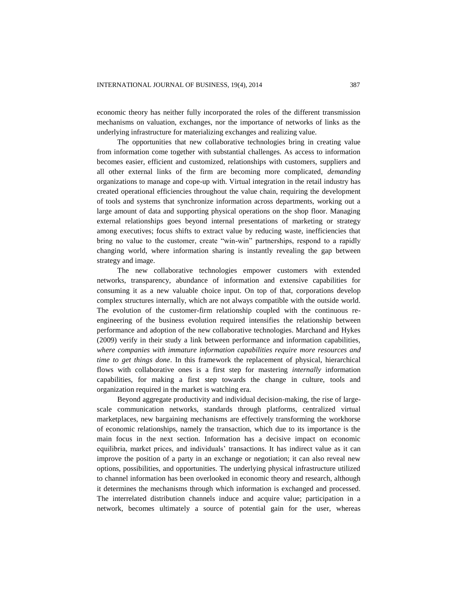economic theory has neither fully incorporated the roles of the different transmission mechanisms on valuation, exchanges, nor the importance of networks of links as the underlying infrastructure for materializing exchanges and realizing value.

The opportunities that new collaborative technologies bring in creating value from information come together with substantial challenges. As access to information becomes easier, efficient and customized, relationships with customers, suppliers and all other external links of the firm are becoming more complicated, *demanding* organizations to manage and cope-up with. Virtual integration in the retail industry has created operational efficiencies throughout the value chain, requiring the development of tools and systems that synchronize information across departments, working out a large amount of data and supporting physical operations on the shop floor. Managing external relationships goes beyond internal presentations of marketing or strategy among executives; focus shifts to extract value by reducing waste, inefficiencies that bring no value to the customer, create "win-win" partnerships, respond to a rapidly changing world, where information sharing is instantly revealing the gap between strategy and image.

The new collaborative technologies empower customers with extended networks, transparency, abundance of information and extensive capabilities for consuming it as a new valuable choice input. On top of that, corporations develop complex structures internally, which are not always compatible with the outside world. The evolution of the customer-firm relationship coupled with the continuous reengineering of the business evolution required intensifies the relationship between performance and adoption of the new collaborative technologies. Marchand and Hykes (2009) verify in their study a link between performance and information capabilities, *where companies with immature information capabilities require more resources and time to get things done*. In this framework the replacement of physical, hierarchical flows with collaborative ones is a first step for mastering *internally* information capabilities, for making a first step towards the change in culture, tools and organization required in the market is watching era.

Beyond aggregate productivity and individual decision-making, the rise of largescale communication networks, standards through platforms, centralized virtual marketplaces, new bargaining mechanisms are effectively transforming the workhorse of economic relationships, namely the transaction, which due to its importance is the main focus in the next section. Information has a decisive impact on economic equilibria, market prices, and individuals' transactions. It has indirect value as it can improve the position of a party in an exchange or negotiation; it can also reveal new options, possibilities, and opportunities. The underlying physical infrastructure utilized to channel information has been overlooked in economic theory and research, although it determines the mechanisms through which information is exchanged and processed. The interrelated distribution channels induce and acquire value; participation in a network, becomes ultimately a source of potential gain for the user, whereas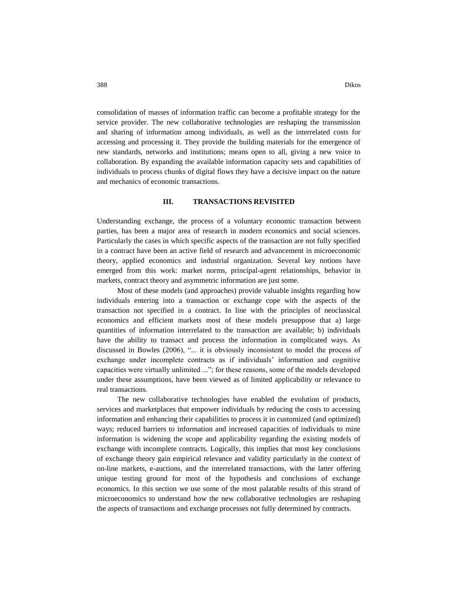consolidation of masses of information traffic can become a profitable strategy for the service provider. The new collaborative technologies are reshaping the transmission and sharing of information among individuals, as well as the interrelated costs for accessing and processing it. They provide the building materials for the emergence of new standards, networks and institutions; means open to all, giving a new voice to collaboration. By expanding the available information capacity sets and capabilities of individuals to process chunks of digital flows they have a decisive impact on the nature and mechanics of economic transactions.

#### **III. TRANSACTIONS REVISITED**

Understanding exchange, the process of a voluntary economic transaction between parties, has been a major area of research in modern economics and social sciences. Particularly the cases in which specific aspects of the transaction are not fully specified in a contract have been an active field of research and advancement in microeconomic theory, applied economics and industrial organization. Several key notions have emerged from this work: market norms, principal-agent relationships, behavior in markets, contract theory and asymmetric information are just some.

Most of these models (and approaches) provide valuable insights regarding how individuals entering into a transaction or exchange cope with the aspects of the transaction not specified in a contract. In line with the principles of neoclassical economics and efficient markets most of these models presuppose that a) large quantities of information interrelated to the transaction are available; b) individuals have the ability to transact and process the information in complicated ways. As discussed in Bowles (2006), "... it is obviously inconsistent to model the process of exchange under incomplete contracts as if individuals' information and cognitive capacities were virtually unlimited ..."; for these reasons, some of the models developed under these assumptions, have been viewed as of limited applicability or relevance to real transactions.

The new collaborative technologies have enabled the evolution of products, services and marketplaces that empower individuals by reducing the costs to accessing information and enhancing their capabilities to process it in customized (and optimized) ways; reduced barriers to information and increased capacities of individuals to mine information is widening the scope and applicability regarding the existing models of exchange with incomplete contracts. Logically, this implies that most key conclusions of exchange theory gain empirical relevance and validity particularly in the context of on-line markets, e-auctions, and the interrelated transactions, with the latter offering unique testing ground for most of the hypothesis and conclusions of exchange economics. In this section we use some of the most palatable results of this strand of microeconomics to understand how the new collaborative technologies are reshaping the aspects of transactions and exchange processes not fully determined by contracts.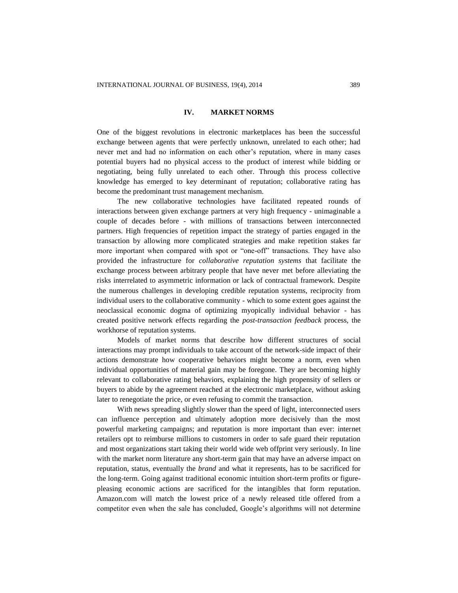#### **IV. MARKET NORMS**

One of the biggest revolutions in electronic marketplaces has been the successful exchange between agents that were perfectly unknown, unrelated to each other; had never met and had no information on each other's reputation, where in many cases potential buyers had no physical access to the product of interest while bidding or negotiating, being fully unrelated to each other. Through this process collective knowledge has emerged to key determinant of reputation; collaborative rating has become the predominant trust management mechanism.

The new collaborative technologies have facilitated repeated rounds of interactions between given exchange partners at very high frequency - unimaginable a couple of decades before - with millions of transactions between interconnected partners. High frequencies of repetition impact the strategy of parties engaged in the transaction by allowing more complicated strategies and make repetition stakes far more important when compared with spot or "one-off" transactions. They have also provided the infrastructure for *collaborative reputation systems* that facilitate the exchange process between arbitrary people that have never met before alleviating the risks interrelated to asymmetric information or lack of contractual framework. Despite the numerous challenges in developing credible reputation systems, reciprocity from individual users to the collaborative community - which to some extent goes against the neoclassical economic dogma of optimizing myopically individual behavior - has created positive network effects regarding the *post-transaction feedback* process, the workhorse of reputation systems.

Models of market norms that describe how different structures of social interactions may prompt individuals to take account of the network-side impact of their actions demonstrate how cooperative behaviors might become a norm, even when individual opportunities of material gain may be foregone. They are becoming highly relevant to collaborative rating behaviors, explaining the high propensity of sellers or buyers to abide by the agreement reached at the electronic marketplace, without asking later to renegotiate the price, or even refusing to commit the transaction.

With news spreading slightly slower than the speed of light, interconnected users can influence perception and ultimately adoption more decisively than the most powerful marketing campaigns; and reputation is more important than ever: internet retailers opt to reimburse millions to customers in order to safe guard their reputation and most organizations start taking their world wide web offprint very seriously. In line with the market norm literature any short-term gain that may have an adverse impact on reputation, status, eventually the *brand* and what it represents, has to be sacrificed for the long-term. Going against traditional economic intuition short-term profits or figurepleasing economic actions are sacrificed for the intangibles that form reputation. Amazon.com will match the lowest price of a newly released title offered from a competitor even when the sale has concluded, Google's algorithms will not determine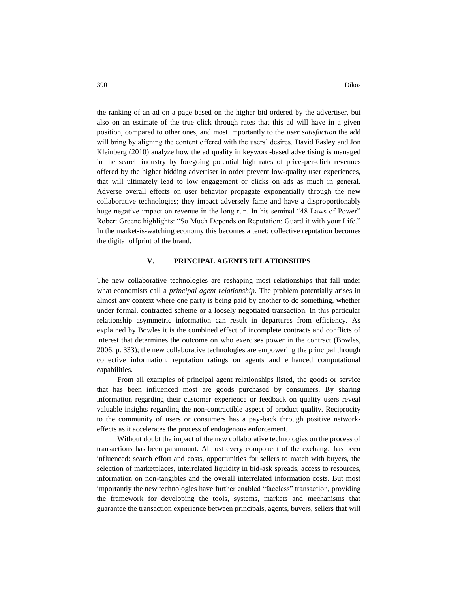390 Dikos

the ranking of an ad on a page based on the higher bid ordered by the advertiser, but also on an estimate of the true click through rates that this ad will have in a given position, compared to other ones, and most importantly to the *user satisfaction* the add will bring by aligning the content offered with the users' desires. David Easley and Jon Kleinberg (2010) analyze how the ad quality in keyword-based advertising is managed in the search industry by foregoing potential high rates of price-per-click revenues offered by the higher bidding advertiser in order prevent low-quality user experiences, that will ultimately lead to low engagement or clicks on ads as much in general. Adverse overall effects on user behavior propagate exponentially through the new collaborative technologies; they impact adversely fame and have a disproportionably huge negative impact on revenue in the long run. In his seminal "48 Laws of Power" Robert Greene highlights: "So Much Depends on Reputation: Guard it with your Life." In the market-is-watching economy this becomes a tenet: collective reputation becomes the digital offprint of the brand.

## **V. PRINCIPAL AGENTS RELATIONSHIPS**

The new collaborative technologies are reshaping most relationships that fall under what economists call a *principal agent relationship*. The problem potentially arises in almost any context where one party is being paid by another to do something, whether under formal, contracted scheme or a loosely negotiated transaction. In this particular relationship asymmetric information can result in departures from efficiency. As explained by Bowles it is the combined effect of incomplete contracts and conflicts of interest that determines the outcome on who exercises power in the contract (Bowles, 2006, p. 333); the new collaborative technologies are empowering the principal through collective information, reputation ratings on agents and enhanced computational capabilities.

From all examples of principal agent relationships listed, the goods or service that has been influenced most are goods purchased by consumers. By sharing information regarding their customer experience or feedback on quality users reveal valuable insights regarding the non-contractible aspect of product quality. Reciprocity to the community of users or consumers has a pay-back through positive networkeffects as it accelerates the process of endogenous enforcement.

Without doubt the impact of the new collaborative technologies on the process of transactions has been paramount. Almost every component of the exchange has been influenced: search effort and costs, opportunities for sellers to match with buyers, the selection of marketplaces, interrelated liquidity in bid-ask spreads, access to resources, information on non-tangibles and the overall interrelated information costs. But most importantly the new technologies have further enabled "faceless" transaction, providing the framework for developing the tools, systems, markets and mechanisms that guarantee the transaction experience between principals, agents, buyers, sellers that will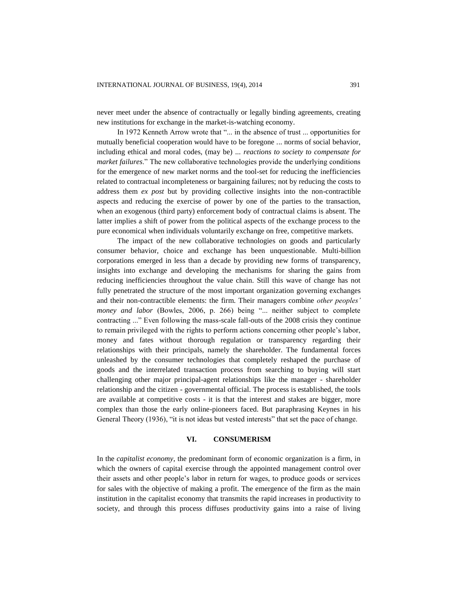never meet under the absence of contractually or legally binding agreements, creating new institutions for exchange in the market-is-watching economy.

In 1972 Kenneth Arrow wrote that "... in the absence of trust ... opportunities for mutually beneficial cooperation would have to be foregone ... norms of social behavior, including ethical and moral codes, (may be) ... *reactions to society to compensate for market failures*." The new collaborative technologies provide the underlying conditions for the emergence of new market norms and the tool-set for reducing the inefficiencies related to contractual incompleteness or bargaining failures; not by reducing the costs to address them *ex post* but by providing collective insights into the non-contractible aspects and reducing the exercise of power by one of the parties to the transaction, when an exogenous (third party) enforcement body of contractual claims is absent. The latter implies a shift of power from the political aspects of the exchange process to the pure economical when individuals voluntarily exchange on free, competitive markets.

The impact of the new collaborative technologies on goods and particularly consumer behavior, choice and exchange has been unquestionable. Multi-billion corporations emerged in less than a decade by providing new forms of transparency, insights into exchange and developing the mechanisms for sharing the gains from reducing inefficiencies throughout the value chain. Still this wave of change has not fully penetrated the structure of the most important organization governing exchanges and their non-contractible elements: the firm. Their managers combine *other peoples' money and labor* (Bowles, 2006, p. 266) being "... neither subject to complete contracting ..." Even following the mass-scale fall-outs of the 2008 crisis they continue to remain privileged with the rights to perform actions concerning other people's labor, money and fates without thorough regulation or transparency regarding their relationships with their principals, namely the shareholder. The fundamental forces unleashed by the consumer technologies that completely reshaped the purchase of goods and the interrelated transaction process from searching to buying will start challenging other major principal-agent relationships like the manager - shareholder relationship and the citizen - governmental official. The process is established, the tools are available at competitive costs - it is that the interest and stakes are bigger, more complex than those the early online-pioneers faced. But paraphrasing Keynes in his General Theory (1936), "it is not ideas but vested interests" that set the pace of change.

#### **VI. CONSUMERISM**

In the *capitalist economy*, the predominant form of economic organization is a firm, in which the owners of capital exercise through the appointed management control over their assets and other people's labor in return for wages, to produce goods or services for sales with the objective of making a profit. The emergence of the firm as the main institution in the capitalist economy that transmits the rapid increases in productivity to society, and through this process diffuses productivity gains into a raise of living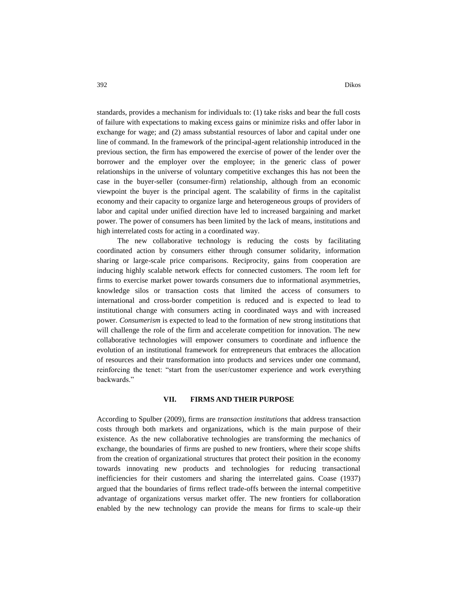standards, provides a mechanism for individuals to: (1) take risks and bear the full costs of failure with expectations to making excess gains or minimize risks and offer labor in exchange for wage; and (2) amass substantial resources of labor and capital under one line of command. In the framework of the principal-agent relationship introduced in the previous section, the firm has empowered the exercise of power of the lender over the borrower and the employer over the employee; in the generic class of power relationships in the universe of voluntary competitive exchanges this has not been the case in the buyer-seller (consumer-firm) relationship, although from an economic viewpoint the buyer is the principal agent. The scalability of firms in the capitalist economy and their capacity to organize large and heterogeneous groups of providers of labor and capital under unified direction have led to increased bargaining and market power. The power of consumers has been limited by the lack of means, institutions and high interrelated costs for acting in a coordinated way.

The new collaborative technology is reducing the costs by facilitating coordinated action by consumers either through consumer solidarity, information sharing or large-scale price comparisons. Reciprocity, gains from cooperation are inducing highly scalable network effects for connected customers. The room left for firms to exercise market power towards consumers due to informational asymmetries, knowledge silos or transaction costs that limited the access of consumers to international and cross-border competition is reduced and is expected to lead to institutional change with consumers acting in coordinated ways and with increased power. *Consumerism* is expected to lead to the formation of new strong institutions that will challenge the role of the firm and accelerate competition for innovation. The new collaborative technologies will empower consumers to coordinate and influence the evolution of an institutional framework for entrepreneurs that embraces the allocation of resources and their transformation into products and services under one command, reinforcing the tenet: "start from the user/customer experience and work everything backwards."

## **VII. FIRMS AND THEIR PURPOSE**

According to Spulber (2009), firms are *transaction institutions* that address transaction costs through both markets and organizations, which is the main purpose of their existence. As the new collaborative technologies are transforming the mechanics of exchange, the boundaries of firms are pushed to new frontiers, where their scope shifts from the creation of organizational structures that protect their position in the economy towards innovating new products and technologies for reducing transactional inefficiencies for their customers and sharing the interrelated gains. Coase (1937) argued that the boundaries of firms reflect trade-offs between the internal competitive advantage of organizations versus market offer. The new frontiers for collaboration enabled by the new technology can provide the means for firms to scale-up their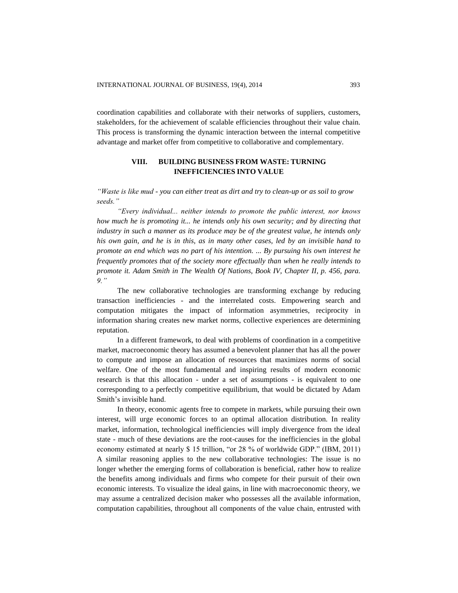coordination capabilities and collaborate with their networks of suppliers, customers, stakeholders, for the achievement of scalable efficiencies throughout their value chain. This process is transforming the dynamic interaction between the internal competitive advantage and market offer from competitive to collaborative and complementary.

## **VIII. BUILDING BUSINESS FROM WASTE: TURNING INEFFICIENCIES INTO VALUE**

*"Waste is like mud - you can either treat as dirt and try to clean-up or as soil to grow seeds."*

*"Every individual... neither intends to promote the public interest, nor knows how much he is promoting it... he intends only his own security; and by directing that industry in such a manner as its produce may be of the greatest value, he intends only his own gain, and he is in this, as in many other cases, led by an invisible hand to promote an end which was no part of his intention. ... By pursuing his own interest he frequently promotes that of the society more effectually than when he really intends to promote it. Adam Smith in The Wealth Of Nations, Book IV, Chapter II, p. 456, para. 9."*

The new collaborative technologies are transforming exchange by reducing transaction inefficiencies - and the interrelated costs. Empowering search and computation mitigates the impact of information asymmetries, reciprocity in information sharing creates new market norms, collective experiences are determining reputation.

In a different framework, to deal with problems of coordination in a competitive market, macroeconomic theory has assumed a benevolent planner that has all the power to compute and impose an allocation of resources that maximizes norms of social welfare. One of the most fundamental and inspiring results of modern economic research is that this allocation - under a set of assumptions - is equivalent to one corresponding to a perfectly competitive equilibrium, that would be dictated by Adam Smith's invisible hand.

In theory, economic agents free to compete in markets, while pursuing their own interest, will urge economic forces to an optimal allocation distribution. In reality market, information, technological inefficiencies will imply divergence from the ideal state - much of these deviations are the root-causes for the inefficiencies in the global economy estimated at nearly \$ 15 trillion, "or 28 % of worldwide GDP." (IBM, 2011) A similar reasoning applies to the new collaborative technologies: The issue is no longer whether the emerging forms of collaboration is beneficial, rather how to realize the benefits among individuals and firms who compete for their pursuit of their own economic interests. To visualize the ideal gains, in line with macroeconomic theory, we may assume a centralized decision maker who possesses all the available information, computation capabilities, throughout all components of the value chain, entrusted with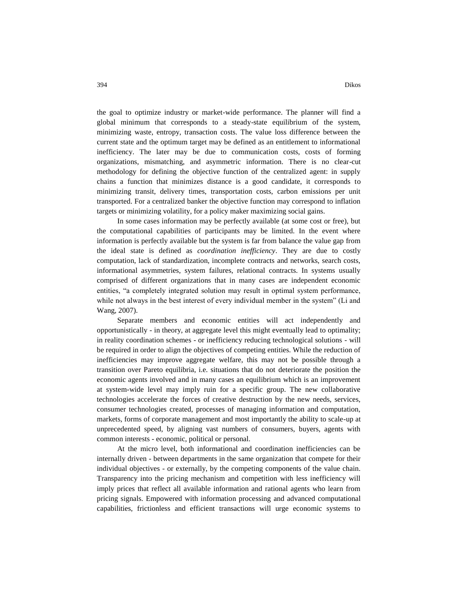the goal to optimize industry or market-wide performance. The planner will find a global minimum that corresponds to a steady-state equilibrium of the system, minimizing waste, entropy, transaction costs. The value loss difference between the current state and the optimum target may be defined as an entitlement to informational inefficiency. The later may be due to communication costs, costs of forming organizations, mismatching, and asymmetric information. There is no clear-cut methodology for defining the objective function of the centralized agent: in supply chains a function that minimizes distance is a good candidate, it corresponds to minimizing transit, delivery times, transportation costs, carbon emissions per unit transported. For a centralized banker the objective function may correspond to inflation targets or minimizing volatility, for a policy maker maximizing social gains.

In some cases information may be perfectly available (at some cost or free), but the computational capabilities of participants may be limited. In the event where information is perfectly available but the system is far from balance the value gap from the ideal state is defined as *coordination inefficiency*. They are due to costly computation, lack of standardization, incomplete contracts and networks, search costs, informational asymmetries, system failures, relational contracts. In systems usually comprised of different organizations that in many cases are independent economic entities, "a completely integrated solution may result in optimal system performance, while not always in the best interest of every individual member in the system" (Li and Wang, 2007).

Separate members and economic entities will act independently and opportunistically - in theory, at aggregate level this might eventually lead to optimality; in reality coordination schemes - or inefficiency reducing technological solutions - will be required in order to align the objectives of competing entities. While the reduction of inefficiencies may improve aggregate welfare, this may not be possible through a transition over Pareto equilibria, i.e. situations that do not deteriorate the position the economic agents involved and in many cases an equilibrium which is an improvement at system-wide level may imply ruin for a specific group. The new collaborative technologies accelerate the forces of creative destruction by the new needs, services, consumer technologies created, processes of managing information and computation, markets, forms of corporate management and most importantly the ability to scale-up at unprecedented speed, by aligning vast numbers of consumers, buyers, agents with common interests - economic, political or personal.

At the micro level, both informational and coordination inefficiencies can be internally driven - between departments in the same organization that compete for their individual objectives - or externally, by the competing components of the value chain. Transparency into the pricing mechanism and competition with less inefficiency will imply prices that reflect all available information and rational agents who learn from pricing signals. Empowered with information processing and advanced computational capabilities, frictionless and efficient transactions will urge economic systems to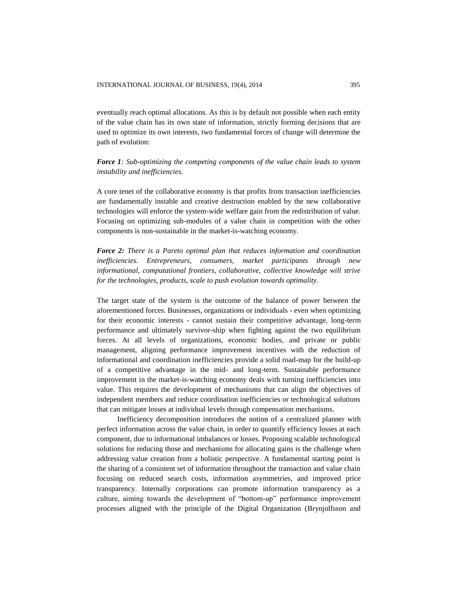eventually reach optimal allocations. As this is by default not possible when each entity of the value chain has its own state of information, strictly forming decisions that are used to optimize its own interests, two fundamental forces of change will determine the path of evolution:

## *Force 1: Sub-optimizing the competing components of the value chain leads to system instability and inefficiencies.*

A core tenet of the collaborative economy is that profits from transaction inefficiencies are fundamentally instable and creative destruction enabled by the new collaborative technologies will enforce the system-wide welfare gain from the redistribution of value. Focusing on optimizing sub-modules of a value chain in competition with the other components is non-sustainable in the market-is-watching economy.

*Force 2: There is a Pareto optimal plan that reduces information and coordination inefficiencies. Entrepreneurs, consumers, market participants through new informational, computational frontiers, collaborative, collective knowledge will strive for the technologies, products, scale to push evolution towards optimality.*

The target state of the system is the outcome of the balance of power between the aforementioned forces. Businesses, organizations or individuals - even when optimizing for their economic interests - cannot sustain their competitive advantage, long-term performance and ultimately survivor-ship when fighting against the two equilibrium forces. At all levels of organizations, economic bodies, and private or public management, aligning performance improvement incentives with the reduction of informational and coordination inefficiencies provide a solid road-map for the build-up of a competitive advantage in the mid- and long-term. Sustainable performance improvement in the market-is-watching economy deals with turning inefficiencies into value. This requires the development of mechanisms that can align the objectives of independent members and reduce coordination inefficiencies or technological solutions that can mitigate losses at individual levels through compensation mechanisms.

Inefficiency decomposition introduces the notion of a centralized planner with perfect information across the value chain, in order to quantify efficiency losses at each component, due to informational imbalances or losses. Proposing scalable technological solutions for reducing those and mechanisms for allocating gains is the challenge when addressing value creation from a holistic perspective. A fundamental starting point is the sharing of a consistent set of information throughout the transaction and value chain focusing on reduced search costs, information asymmetries, and improved price transparency. Internally corporations can promote information transparency as a culture, aiming towards the development of "bottom-up" performance improvement processes aligned with the principle of the Digital Organization (Brynjolfsson and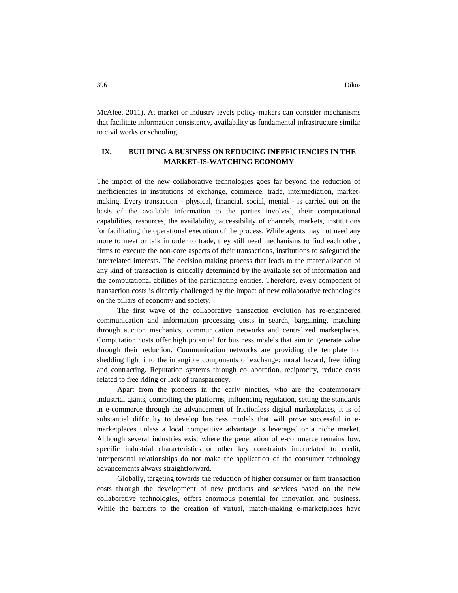McAfee, 2011). At market or industry levels policy-makers can consider mechanisms that facilitate information consistency, availability as fundamental infrastructure similar to civil works or schooling.

## **IX. BUILDING A BUSINESS ON REDUCING INEFFICIENCIES IN THE MARKET-IS-WATCHING ECONOMY**

The impact of the new collaborative technologies goes far beyond the reduction of inefficiencies in institutions of exchange, commerce, trade, intermediation, marketmaking. Every transaction - physical, financial, social, mental - is carried out on the basis of the available information to the parties involved, their computational capabilities, resources, the availability, accessibility of channels, markets, institutions for facilitating the operational execution of the process. While agents may not need any more to meet or talk in order to trade, they still need mechanisms to find each other, firms to execute the non-core aspects of their transactions, institutions to safeguard the interrelated interests. The decision making process that leads to the materialization of any kind of transaction is critically determined by the available set of information and the computational abilities of the participating entities. Therefore, every component of transaction costs is directly challenged by the impact of new collaborative technologies on the pillars of economy and society.

The first wave of the collaborative transaction evolution has re-engineered communication and information processing costs in search, bargaining, matching through auction mechanics, communication networks and centralized marketplaces. Computation costs offer high potential for business models that aim to generate value through their reduction. Communication networks are providing the template for shedding light into the intangible components of exchange: moral hazard, free riding and contracting. Reputation systems through collaboration, reciprocity, reduce costs related to free riding or lack of transparency.

Apart from the pioneers in the early nineties, who are the contemporary industrial giants, controlling the platforms, influencing regulation, setting the standards in e-commerce through the advancement of frictionless digital marketplaces, it is of substantial difficulty to develop business models that will prove successful in emarketplaces unless a local competitive advantage is leveraged or a niche market. Although several industries exist where the penetration of e-commerce remains low, specific industrial characteristics or other key constraints interrelated to credit, interpersonal relationships do not make the application of the consumer technology advancements always straightforward.

Globally, targeting towards the reduction of higher consumer or firm transaction costs through the development of new products and services based on the new collaborative technologies, offers enormous potential for innovation and business. While the barriers to the creation of virtual, match-making e-marketplaces have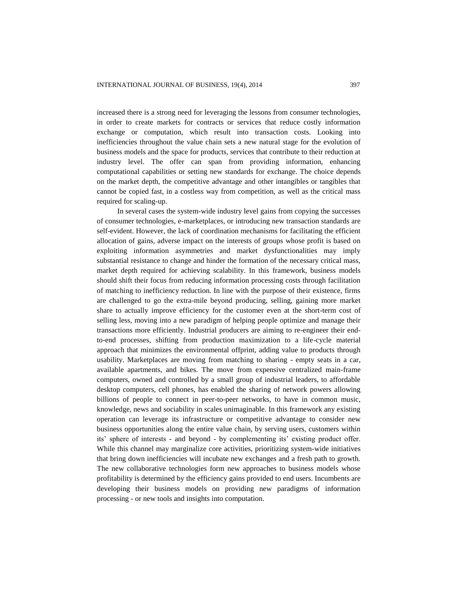increased there is a strong need for leveraging the lessons from consumer technologies, in order to create markets for contracts or services that reduce costly information exchange or computation, which result into transaction costs. Looking into inefficiencies throughout the value chain sets a new natural stage for the evolution of business models and the space for products, services that contribute to their reduction at industry level. The offer can span from providing information, enhancing computational capabilities or setting new standards for exchange. The choice depends on the market depth, the competitive advantage and other intangibles or tangibles that cannot be copied fast, in a costless way from competition, as well as the critical mass required for scaling-up.

In several cases the system-wide industry level gains from copying the successes of consumer technologies, e-marketplaces, or introducing new transaction standards are self-evident. However, the lack of coordination mechanisms for facilitating the efficient allocation of gains, adverse impact on the interests of groups whose profit is based on exploiting information asymmetries and market dysfunctionalities may imply substantial resistance to change and hinder the formation of the necessary critical mass, market depth required for achieving scalability. In this framework, business models should shift their focus from reducing information processing costs through facilitation of matching to inefficiency reduction. In line with the purpose of their existence, firms are challenged to go the extra-mile beyond producing, selling, gaining more market share to actually improve efficiency for the customer even at the short-term cost of selling less, moving into a new paradigm of helping people optimize and manage their transactions more efficiently. Industrial producers are aiming to re-engineer their endto-end processes, shifting from production maximization to a life-cycle material approach that minimizes the environmental offprint, adding value to products through usability. Marketplaces are moving from matching to sharing - empty seats in a car, available apartments, and bikes. The move from expensive centralized main-frame computers, owned and controlled by a small group of industrial leaders, to affordable desktop computers, cell phones, has enabled the sharing of network powers allowing billions of people to connect in peer-to-peer networks, to have in common music, knowledge, news and sociability in scales unimaginable. In this framework any existing operation can leverage its infrastructure or competitive advantage to consider new business opportunities along the entire value chain, by serving users, customers within its' sphere of interests - and beyond - by complementing its' existing product offer. While this channel may marginalize core activities, prioritizing system-wide initiatives that bring down inefficiencies will incubate new exchanges and a fresh path to growth. The new collaborative technologies form new approaches to business models whose profitability is determined by the efficiency gains provided to end users. Incumbents are developing their business models on providing new paradigms of information processing - or new tools and insights into computation.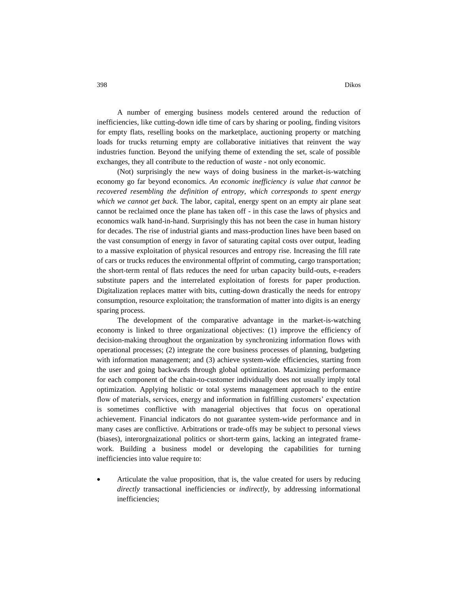A number of emerging business models centered around the reduction of inefficiencies, like cutting-down idle time of cars by sharing or pooling, finding visitors for empty flats, reselling books on the marketplace, auctioning property or matching loads for trucks returning empty are collaborative initiatives that reinvent the way industries function. Beyond the unifying theme of extending the set, scale of possible exchanges, they all contribute to the reduction of *waste* - not only economic.

(Not) surprisingly the new ways of doing business in the market-is-watching economy go far beyond economics. *An economic inefficiency is value that cannot be recovered resembling the definition of entropy, which corresponds to spent energy which we cannot get back.* The labor, capital, energy spent on an empty air plane seat cannot be reclaimed once the plane has taken off - in this case the laws of physics and economics walk hand-in-hand. Surprisingly this has not been the case in human history for decades. The rise of industrial giants and mass-production lines have been based on the vast consumption of energy in favor of saturating capital costs over output, leading to a massive exploitation of physical resources and entropy rise. Increasing the fill rate of cars or trucks reduces the environmental offprint of commuting, cargo transportation; the short-term rental of flats reduces the need for urban capacity build-outs, e-readers substitute papers and the interrelated exploitation of forests for paper production. Digitalization replaces matter with bits, cutting-down drastically the needs for entropy consumption, resource exploitation; the transformation of matter into digits is an energy sparing process.

The development of the comparative advantage in the market-is-watching economy is linked to three organizational objectives: (1) improve the efficiency of decision-making throughout the organization by synchronizing information flows with operational processes; (2) integrate the core business processes of planning, budgeting with information management; and (3) achieve system-wide efficiencies, starting from the user and going backwards through global optimization. Maximizing performance for each component of the chain-to-customer individually does not usually imply total optimization. Applying holistic or total systems management approach to the entire flow of materials, services, energy and information in fulfilling customers' expectation is sometimes conflictive with managerial objectives that focus on operational achievement. Financial indicators do not guarantee system-wide performance and in many cases are conflictive. Arbitrations or trade-offs may be subject to personal views (biases), interorgnaizational politics or short-term gains, lacking an integrated framework. Building a business model or developing the capabilities for turning inefficiencies into value require to:

 Articulate the value proposition, that is, the value created for users by reducing *directly* transactional inefficiencies or *indirectly*, by addressing informational inefficiencies;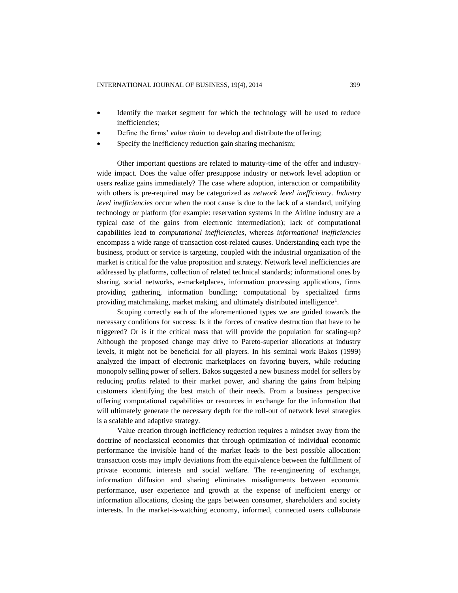- Identify the market segment for which the technology will be used to reduce inefficiencies;
- Define the firms' *value chain* to develop and distribute the offering;
- Specify the inefficiency reduction gain sharing mechanism;

Other important questions are related to maturity-time of the offer and industrywide impact. Does the value offer presuppose industry or network level adoption or users realize gains immediately? The case where adoption, interaction or compatibility with others is pre-required may be categorized as *network level inefficiency*. *Industry level inefficiencies* occur when the root cause is due to the lack of a standard, unifying technology or platform (for example: reservation systems in the Airline industry are a typical case of the gains from electronic intermediation); lack of computational capabilities lead to *computational inefficiencies*, whereas *informational inefficiencies* encompass a wide range of transaction cost-related causes. Understanding each type the business, product or service is targeting, coupled with the industrial organization of the market is critical for the value proposition and strategy. Network level inefficiencies are addressed by platforms, collection of related technical standards; informational ones by sharing, social networks, e-marketplaces, information processing applications, firms providing gathering, information bundling; computational by specialized firms providing matchmaking, market making, and ultimately distributed intelligence<sup>1</sup>.

Scoping correctly each of the aforementioned types we are guided towards the necessary conditions for success: Is it the forces of creative destruction that have to be triggered? Or is it the critical mass that will provide the population for scaling-up? Although the proposed change may drive to Pareto-superior allocations at industry levels, it might not be beneficial for all players. In his seminal work Bakos (1999) analyzed the impact of electronic marketplaces on favoring buyers, while reducing monopoly selling power of sellers. Bakos suggested a new business model for sellers by reducing profits related to their market power, and sharing the gains from helping customers identifying the best match of their needs. From a business perspective offering computational capabilities or resources in exchange for the information that will ultimately generate the necessary depth for the roll-out of network level strategies is a scalable and adaptive strategy.

Value creation through inefficiency reduction requires a mindset away from the doctrine of neoclassical economics that through optimization of individual economic performance the invisible hand of the market leads to the best possible allocation: transaction costs may imply deviations from the equivalence between the fulfillment of private economic interests and social welfare. The re-engineering of exchange, information diffusion and sharing eliminates misalignments between economic performance, user experience and growth at the expense of inefficient energy or information allocations, closing the gaps between consumer, shareholders and society interests. In the market-is-watching economy, informed, connected users collaborate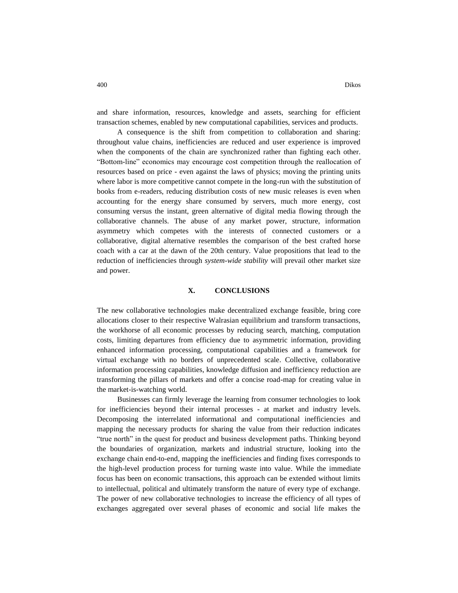and share information, resources, knowledge and assets, searching for efficient transaction schemes, enabled by new computational capabilities, services and products.

A consequence is the shift from competition to collaboration and sharing: throughout value chains, inefficiencies are reduced and user experience is improved when the components of the chain are synchronized rather than fighting each other. "Bottom-line" economics may encourage cost competition through the reallocation of resources based on price - even against the laws of physics; moving the printing units where labor is more competitive cannot compete in the long-run with the substitution of books from e-readers, reducing distribution costs of new music releases is even when accounting for the energy share consumed by servers, much more energy, cost consuming versus the instant, green alternative of digital media flowing through the collaborative channels. The abuse of any market power, structure, information asymmetry which competes with the interests of connected customers or a collaborative, digital alternative resembles the comparison of the best crafted horse coach with a car at the dawn of the 20th century. Value propositions that lead to the reduction of inefficiencies through *system-wide stability* will prevail other market size and power.

#### **X. CONCLUSIONS**

The new collaborative technologies make decentralized exchange feasible, bring core allocations closer to their respective Walrasian equilibrium and transform transactions, the workhorse of all economic processes by reducing search, matching, computation costs, limiting departures from efficiency due to asymmetric information, providing enhanced information processing, computational capabilities and a framework for virtual exchange with no borders of unprecedented scale. Collective, collaborative information processing capabilities, knowledge diffusion and inefficiency reduction are transforming the pillars of markets and offer a concise road-map for creating value in the market-is-watching world.

Businesses can firmly leverage the learning from consumer technologies to look for inefficiencies beyond their internal processes - at market and industry levels. Decomposing the interrelated informational and computational inefficiencies and mapping the necessary products for sharing the value from their reduction indicates "true north" in the quest for product and business development paths. Thinking beyond the boundaries of organization, markets and industrial structure, looking into the exchange chain end-to-end, mapping the inefficiencies and finding fixes corresponds to the high-level production process for turning waste into value. While the immediate focus has been on economic transactions, this approach can be extended without limits to intellectual, political and ultimately transform the nature of every type of exchange. The power of new collaborative technologies to increase the efficiency of all types of exchanges aggregated over several phases of economic and social life makes the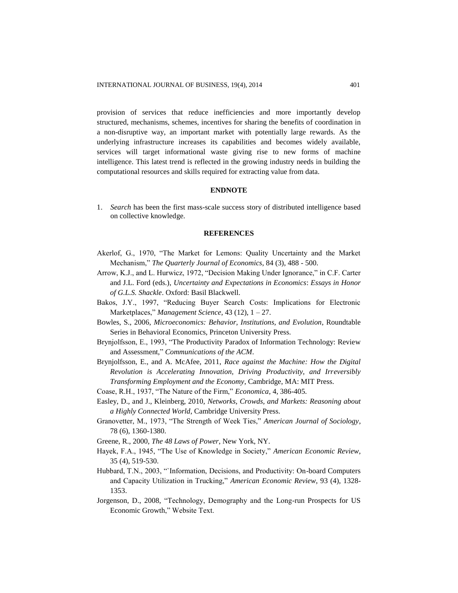provision of services that reduce inefficiencies and more importantly develop structured, mechanisms, schemes, incentives for sharing the benefits of coordination in a non-disruptive way, an important market with potentially large rewards. As the underlying infrastructure increases its capabilities and becomes widely available, services will target informational waste giving rise to new forms of machine intelligence. This latest trend is reflected in the growing industry needs in building the computational resources and skills required for extracting value from data.

## **ENDNOTE**

1. *Search* has been the first mass-scale success story of distributed intelligence based on collective knowledge.

### **REFERENCES**

- Akerlof, G., 1970, "The Market for Lemons: Quality Uncertainty and the Market Mechanism," *The Quarterly Journal of Economics*, 84 (3), 488 - 500.
- Arrow, K.J., and L. Hurwicz, 1972, "Decision Making Under Ignorance," in C.F. Carter and J.L. Ford (eds.), *Uncertainty and Expectations in Economics*: *Essays in Honor of G.L.S. Shackle*. Oxford: Basil Blackwell.
- Bakos, J.Y., 1997, "Reducing Buyer Search Costs: Implications for Electronic Marketplaces," *Management Science*, 43 (12), 1 – 27.
- Bowles, S., 2006, *Microeconomics: Behavior, Institutions, and Evolution*, Roundtable Series in Behavioral Economics, Princeton University Press.
- Brynjolfsson, E., 1993, ["The Productivity Paradox of Information Technology: Review](http://ccs.mit.edu/papers/CCSWP130/ccswp130.html)  [and Assessment,"](http://ccs.mit.edu/papers/CCSWP130/ccswp130.html) *Communications of the ACM*.
- Brynjolfsson, E., and A. McAfee, 2011, *Race against the Machine: How the Digital Revolution is Accelerating Innovation, Driving Productivity, and Irreversibly Transforming Employment and the Economy*, Cambridge, MA: MIT Press.
- Coase, R.H., 1937, "The Nature of the Firm," *Economica*, 4, 386-405.
- Easley, D., and J., Kleinberg, 2010, *Networks, Crowds, and Markets: Reasoning about a Highly Connected World*, Cambridge University Press.
- Granovetter, M., 1973, "The Strength of Week Ties," *American Journal of Sociology*, 78 (6), 1360-1380.
- Greene, R., 2000, *The 48 Laws of Power*, New York, NY.
- Hayek, F.A., 1945, "The Use of Knowledge in Society," *American Economic Review*, 35 (4), 519-530.
- Hubbard, T.N., 2003, "`Information, Decisions, and Productivity: On-board Computers and Capacity Utilization in Trucking," *American Economic Review*, 93 (4), 1328- 1353.
- Jorgenson, D., 2008, ["Technology, Demography and the Long-run Prospects for US](http://www.voxeu.eu/vox-talks/technology-demography-and-long-run-prospects-us-economic-growth)  [Economic Growth,](http://www.voxeu.eu/vox-talks/technology-demography-and-long-run-prospects-us-economic-growth)" Website Text.